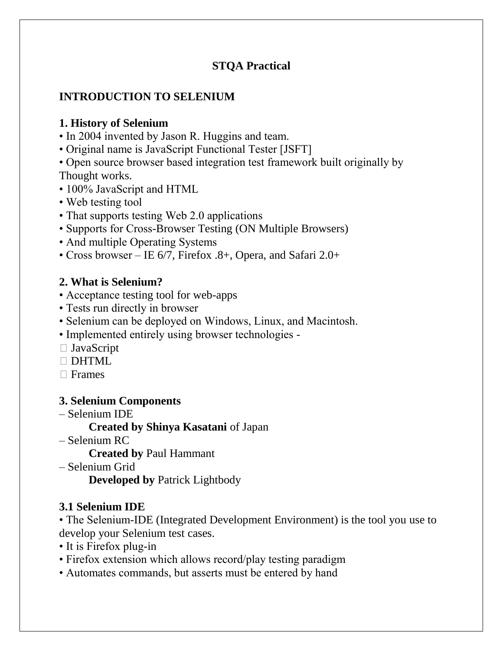# **STQA Practical**

# **INTRODUCTION TO SELENIUM**

# **1. History of Selenium**

- In 2004 invented by Jason R. Huggins and team.
- Original name is JavaScript Functional Tester [JSFT]
- Open source browser based integration test framework built originally by Thought works.
- 100% JavaScript and HTML
- Web testing tool
- That supports testing Web 2.0 applications
- Supports for Cross-Browser Testing (ON Multiple Browsers)
- And multiple Operating Systems
- Cross browser IE 6/7, Firefox .8+, Opera, and Safari 2.0+

# **2. What is Selenium?**

- Acceptance testing tool for web-apps
- Tests run directly in browser
- Selenium can be deployed on Windows, Linux, and Macintosh.
- Implemented entirely using browser technologies -
- □ JavaScript
- $\Box$ DHTML
- $\Box$  Frames

# **3. Selenium Components**

– Selenium IDE

**Created by Shinya Kasatani** of Japan

– Selenium RC

**Created by** Paul Hammant

– Selenium Grid **Developed by** Patrick Lightbody

# **3.1 Selenium IDE**

• The Selenium-IDE (Integrated Development Environment) is the tool you use to develop your Selenium test cases.

- It is Firefox plug-in
- Firefox extension which allows record/play testing paradigm
- Automates commands, but asserts must be entered by hand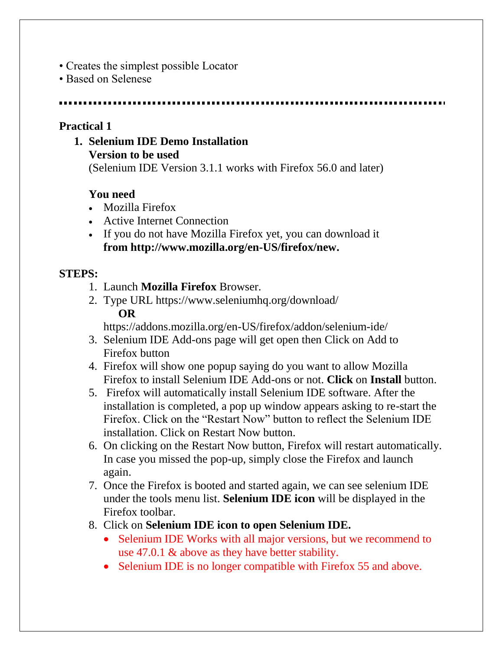- Creates the simplest possible Locator
- Based on Selenese

## **Practical 1**

**1. Selenium IDE Demo Installation Version to be used**

(Selenium IDE Version 3.1.1 works with Firefox 56.0 and later)

# **You need**

- Mozilla Firefox
- Active Internet Connection
- If you do not have Mozilla Firefox yet, you can download it **from [http://www.mozilla.org/en-US/firefox/new.](http://www.mozilla.org/en-US/firefox/new)**

# **STEPS:**

- 1. Launch **Mozilla Firefox** Browser.
- 2. Type URL<https://www.seleniumhq.org/download/> **OR**

<https://addons.mozilla.org/en-US/firefox/addon/selenium-ide/>

- 3. Selenium IDE Add-ons page will get open then Click on Add to Firefox button
- 4. Firefox will show one popup saying do you want to allow Mozilla Firefox to install Selenium IDE Add-ons or not. **Click** on **Install** button.
- 5. Firefox will automatically install Selenium IDE software. After the installation is completed, a pop up window appears asking to re-start the Firefox. Click on the "Restart Now" button to reflect the Selenium IDE installation. Click on Restart Now button.
- 6. On clicking on the Restart Now button, Firefox will restart automatically. In case you missed the pop-up, simply close the Firefox and launch again.
- 7. Once the Firefox is booted and started again, we can see selenium IDE under the tools menu list. **Selenium IDE icon** will be displayed in the Firefox toolbar.
- 8. Click on **Selenium IDE icon to open Selenium IDE.**
	- Selenium IDE Works with all major versions, but we recommend to use 47.0.1 & above as they have better stability.
	- Selenium IDE is no longer compatible with Firefox 55 and above.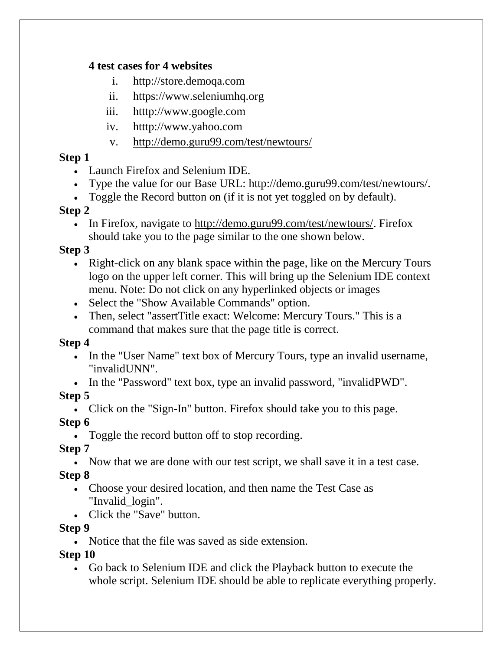## **4 test cases for 4 websites**

- i. [http://store.demoqa.com](http://store.demoqa.com/)
- ii. [https://www.seleniumhq.org](https://www.seleniumhq.org/)
- iii. htttp://www.google.com
- iv. htttp://www.yahoo.com
- v. <http://demo.guru99.com/test/newtours/>

# **Step 1**

- Launch Firefox and Selenium IDE.
- Type the value for our Base URL: [http://demo.guru99.com/test/newtours/.](http://demo.guru99.com/test/newtours/)
- Toggle the Record button on (if it is not yet toggled on by default).

# **Step 2**

• In Firefox, navigate to [http://demo.guru99.com/test/newtours/.](http://demo.guru99.com/test/newtours/) Firefox should take you to the page similar to the one shown below.

# **Step 3**

- Right-click on any blank space within the page, like on the Mercury Tours logo on the upper left corner. This will bring up the Selenium IDE context menu. Note: Do not click on any hyperlinked objects or images
- Select the "Show Available Commands" option.
- Then, select "assertTitle exact: Welcome: Mercury Tours." This is a command that makes sure that the page title is correct.

# **Step 4**

- In the "User Name" text box of Mercury Tours, type an invalid username, "invalidUNN".
- In the "Password" text box, type an invalid password, "invalid PWD".

# **Step 5**

• Click on the "Sign-In" button. Firefox should take you to this page.

# **Step 6**

Toggle the record button off to stop recording.

# **Step 7**

Now that we are done with our test script, we shall save it in a test case.

# **Step 8**

- Choose your desired location, and then name the [Test Case](https://www.guru99.com/test-case.html) as "Invalid\_login".
- Click the "Save" button.

# **Step 9**

Notice that the file was saved as side extension.

# **Step 10**

 Go back to Selenium IDE and click the Playback button to execute the whole script. Selenium IDE should be able to replicate everything properly.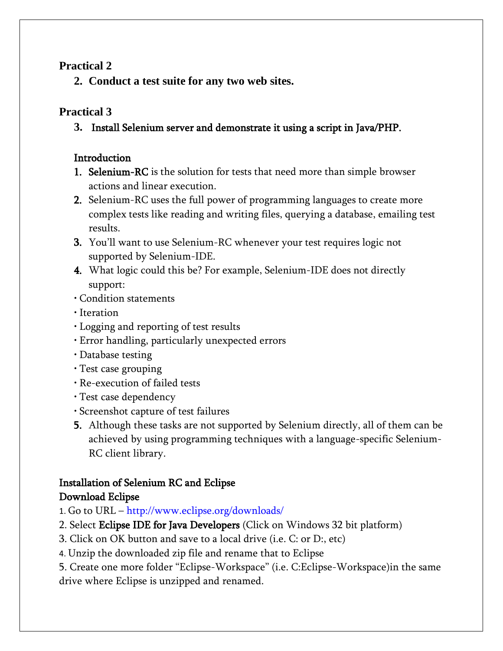## **Practical 2**

**2. Conduct a test suite for any two web sites.** 

# **Practical 3**

# **3.** Install Selenium server and demonstrate it using a script in Java/PHP.

# **Introduction**

- 1. Selenium-RC is the solution for tests that need more than simple browser actions and linear execution.
- 2. Selenium-RC uses the full power of programming languages to create more complex tests like reading and writing files, querying a database, emailing test results.
- 3. You'll want to use Selenium-RC whenever your test requires logic not supported by Selenium-IDE.
- 4. What logic could this be? For example, Selenium-IDE does not directly support:
- Condition statements
- Iteration
- Logging and reporting of test results
- Error handling, particularly unexpected errors
- Database testing
- Test case grouping
- Re-execution of failed tests
- Test case dependency
- Screenshot capture of test failures
- 5. Although these tasks are not supported by Selenium directly, all of them can be achieved by using programming techniques with a language-specific Selenium-RC client library.

# Installation of Selenium RC and Eclipse

# Download Eclipse

- 1. Go to URL http://www.eclipse.org/downloads/
- 2. Select Eclipse IDE for Java Developers (Click on Windows 32 bit platform)
- 3. Click on OK button and save to a local drive (i.e. C: or D:, etc)
- 4. Unzip the downloaded zip file and rename that to Eclipse

5. Create one more folder "Eclipse-Workspace" (i.e. C:Eclipse-Workspace)in the same drive where Eclipse is unzipped and renamed.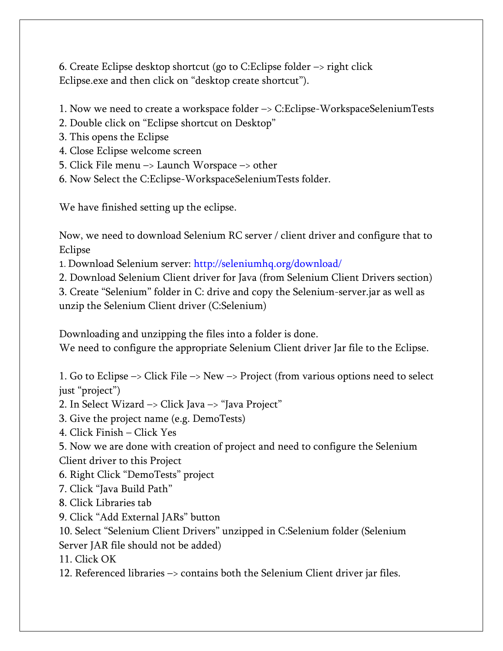6. Create Eclipse desktop shortcut (go to C:Eclipse folder –> right click Eclipse.exe and then click on "desktop create shortcut").

1. Now we need to create a workspace folder –> C:Eclipse-WorkspaceSeleniumTests

- 2. Double click on "Eclipse shortcut on Desktop"
- 3. This opens the Eclipse
- 4. Close Eclipse welcome screen
- 5. Click File menu –> Launch Worspace –> other
- 6. Now Select the C:Eclipse-WorkspaceSeleniumTests folder.

We have finished setting up the eclipse.

Now, we need to download Selenium RC server / client driver and configure that to Eclipse

1. Download Selenium server: http://seleniumhq.org/download/

2. Download Selenium Client driver for Java (from Selenium Client Drivers section)

3. Create "Selenium" folder in C: drive and copy the Selenium-server.jar as well as unzip the Selenium Client driver (C:Selenium)

Downloading and unzipping the files into a folder is done.

We need to configure the appropriate Selenium Client driver Jar file to the Eclipse.

1. Go to Eclipse –> Click File –> New –> Project (from various options need to select just "project")

2. In Select Wizard –> Click Java –> "Java Project"

3. Give the project name (e.g. DemoTests)

4. Click Finish – Click Yes

5. Now we are done with creation of project and need to configure the Selenium Client driver to this Project

6. Right Click "DemoTests" project

7. Click "Java Build Path"

8. Click Libraries tab

9. Click "Add External JARs" button

10. Select "Selenium Client Drivers" unzipped in C:Selenium folder (Selenium Server JAR file should not be added)

11. Click OK

12. Referenced libraries –> contains both the Selenium Client driver jar files.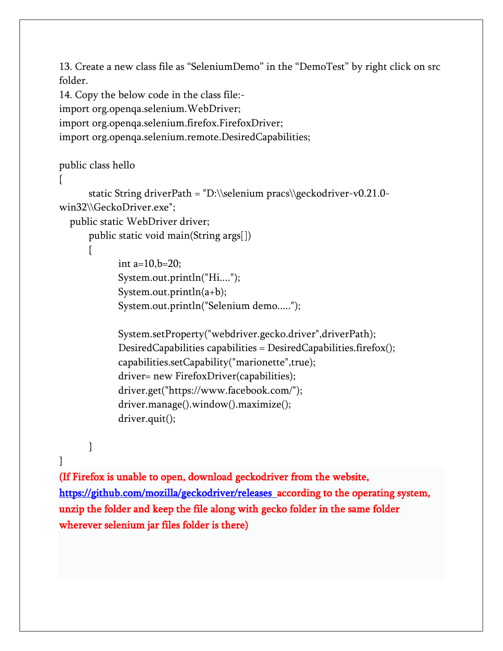13. Create a new class file as "SeleniumDemo" in the "DemoTest" by right click on src folder.

14. Copy the below code in the class file: import org.openqa.selenium.WebDriver; import org.openqa.selenium.firefox.FirefoxDriver; import org.openqa.selenium.remote.DesiredCapabilities;

#### public class hello

```
{
```

```
static String driverPath = "D:\\selenium pracs\\geckodriver-v0.21.0-
win32\\GeckoDriver.exe";
```
public static WebDriver driver;

```
public static void main(String args[])
```

```
{
```
int a= $10, b=20$ ; System.out.println("Hi...."); System.out.println(a+b); System.out.println("Selenium demo.....");

```
System.setProperty("webdriver.gecko.driver",driverPath);
DesiredCapabilities capabilities = DesiredCapabilities.firefox();
capabilities.setCapability("marionette",true);
driver= new FirefoxDriver(capabilities);
driver.get("https://www.facebook.com/");
driver.manage().window().maximize();
driver.quit();
```
}

}

(If Firefox is unable to open, download [geckodriver](https://github.com/mozilla/geckodriver) from the website, <https://github.com/mozilla/geckodriver/releases> according to the operating system, unzip the folder and keep the file along with gecko folder in the same folder wherever selenium jar files folder is there)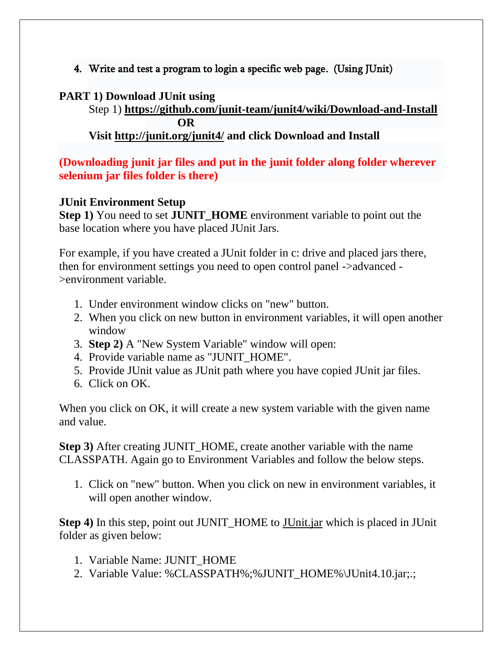4. Write and test a program to login a specific web page. (Using JUnit)

## **PART 1) Download JUnit using**

Step 1) **<https://github.com/junit-team/junit4/wiki/Download-and-Install> OR**

**Visit <http://junit.org/junit4/> and click Download and Install**

**(Downloading junit jar files and put in the junit folder along folder wherever selenium jar files folder is there)**

## **JUnit Environment Setup**

**Step 1)** You need to set **JUNIT\_HOME** environment variable to point out the base location where you have placed JUnit Jars.

For example, if you have created a JUnit folder in c: drive and placed jars there, then for environment settings you need to open control panel ->advanced - >environment variable.

- 1. Under environment window clicks on "new" button.
- 2. When you click on new button in environment variables, it will open another window
- 3. **Step 2)** A "New System Variable" window will open:
- 4. Provide variable name as "JUNIT\_HOME".
- 5. Provide JUnit value as JUnit path where you have copied JUnit jar files.
- 6. Click on OK.

When you click on OK, it will create a new system variable with the given name and value.

**Step 3)** After creating JUNIT\_HOME, create another variable with the name CLASSPATH. Again go to Environment Variables and follow the below steps.

1. Click on "new" button. When you click on new in environment variables, it will open another window.

**Step 4)** In this step, point out JUNIT\_HOME to [JUnit.jar](http://bit.ly/My9IXz) which is placed in JUnit folder as given below:

- 1. Variable Name: JUNIT\_HOME
- 2. Variable Value: %CLASSPATH%;%JUNIT\_HOME%\JUnit4.10.jar;.;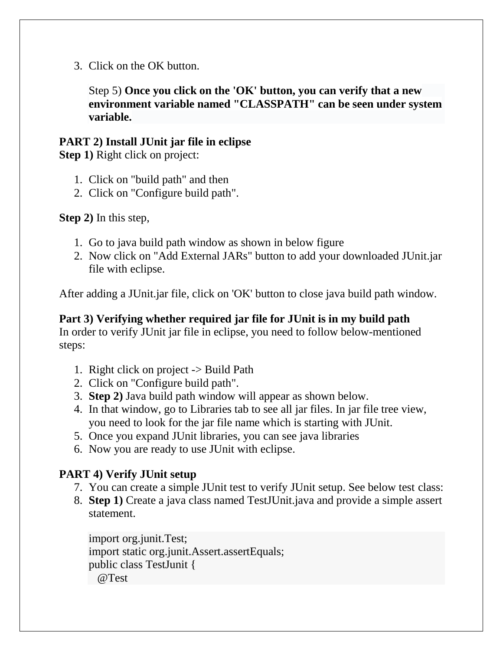3. Click on the OK button.

Step 5) **Once you click on the 'OK' button, you can verify that a new environment variable named "CLASSPATH" can be seen under system variable.**

## **PART 2) Install JUnit jar file in eclipse**

**Step 1)** Right click on project:

- 1. Click on "build path" and then
- 2. Click on "Configure build path".

**Step 2)** In this step,

- 1. Go to java build path window as shown in below figure
- 2. Now click on "Add External JARs" button to add your downloaded JUnit.jar file with eclipse.

After adding a JUnit.jar file, click on 'OK' button to close java build path window.

**Part 3) Verifying whether required jar file for JUnit is in my build path** In order to verify JUnit jar file in eclipse, you need to follow below-mentioned steps:

- 1. Right click on project -> Build Path
- 2. Click on "Configure build path".
- 3. **Step 2)** Java build path window will appear as shown below.
- 4. In that window, go to Libraries tab to see all jar files. In jar file tree view, you need to look for the jar file name which is starting with JUnit.
- 5. Once you expand JUnit libraries, you can see java libraries
- 6. Now you are ready to use JUnit with eclipse.

# **PART 4) Verify JUnit setup**

- 7. You can create a simple JUnit test to verify JUnit setup. See below test class:
- 8. **Step 1)** Create a java class named TestJUnit.java and provide a simple assert statement.

import org.junit.Test; import static org.junit.Assert.assertEquals; public class TestJunit { @Test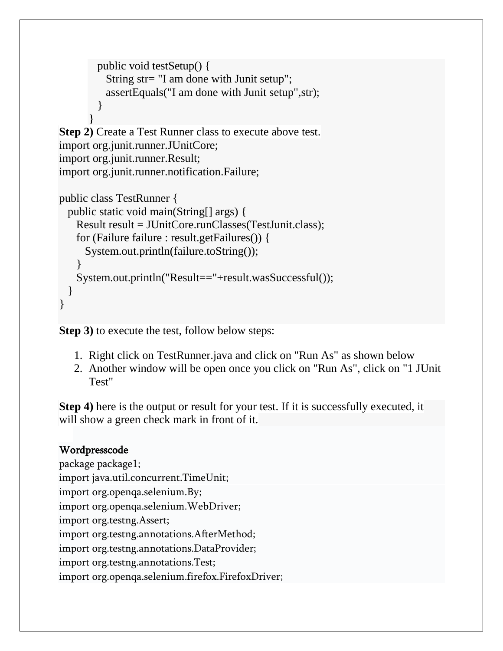```
 public void testSetup() {
           String str= "I am done with Junit setup";
           assertEquals("I am done with Junit setup",str);
          }
       }
Step 2) Create a Test Runner class to execute above test.
import org.junit.runner.JUnitCore;
import org.junit.runner.Result;
import org.junit.runner.notification.Failure;
```

```
public class TestRunner {
  public static void main(String[] args) {
    Result result = JUnitCore.runClasses(TestJunit.class);
    for (Failure failure : result.getFailures()) {
      System.out.println(failure.toString());
 }
    System.out.println("Result=="+result.wasSuccessful());
   }
}
```
**Step 3)** to execute the test, follow below steps:

- 1. Right click on TestRunner.java and click on "Run As" as shown below
- 2. Another window will be open once you click on "Run As", click on "1 JUnit Test"

**Step 4)** here is the output or result for your test. If it is successfully executed, it will show a green check mark in front of it.

# Wordpresscode

package package1; import java.util.concurrent.TimeUnit; import org.openqa.selenium.By; import org.openqa.selenium.WebDriver; import org.testng.Assert; import org.testng.annotations.AfterMethod; import org.testng.annotations.DataProvider; import org.testng.annotations.Test; import org.openqa.selenium.firefox.FirefoxDriver;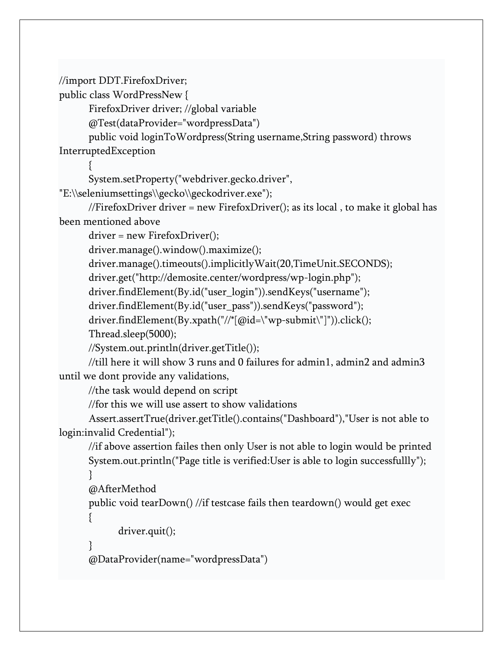//import DDT.FirefoxDriver;

public class WordPressNew {

FirefoxDriver driver; //global variable

@Test(dataProvider="wordpressData")

public void loginToWordpress(String username,String password) throws InterruptedException

{

System.setProperty("webdriver.gecko.driver",

"E:\\seleniumsettings\\gecko\\geckodriver.exe");

//FirefoxDriver driver = new FirefoxDriver(); as its local , to make it global has been mentioned above

driver = new FirefoxDriver();

driver.manage().window().maximize();

driver.manage().timeouts().implicitlyWait(20,TimeUnit.SECONDS);

driver.get("http://demosite.center/wordpress/wp-login.php");

driver.findElement(By.id("user\_login")).sendKeys("username");

driver.findElement(By.id("user\_pass")).sendKeys("password");

driver.findElement(By.xpath("//\*[@id=\"wp-submit\"]")).click();

Thread.sleep(5000);

//System.out.println(driver.getTitle());

//till here it will show 3 runs and 0 failures for admin1, admin2 and admin3 until we dont provide any validations,

//the task would depend on script

//for this we will use assert to show validations

Assert.assertTrue(driver.getTitle().contains("Dashboard"),"User is not able to login:invalid Credential");

//if above assertion failes then only User is not able to login would be printed System.out.println("Page title is verified:User is able to login successfullly");

```
}
```
{

@AfterMethod

public void tearDown() //if testcase fails then teardown() would get exec

```
driver.quit();
```

```
}
@DataProvider(name="wordpressData")
```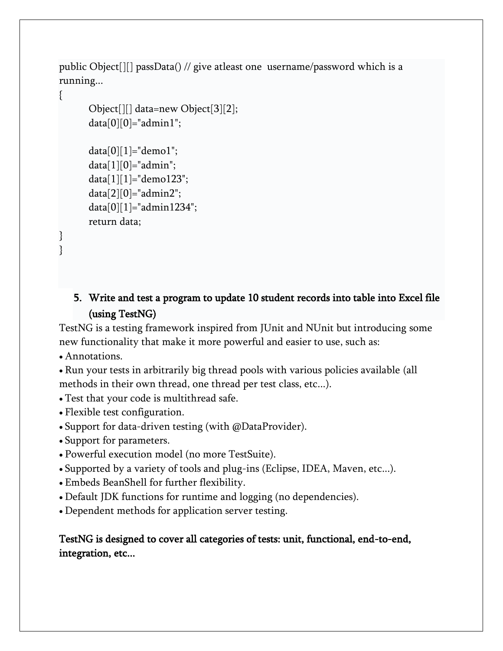public Object[][] passData() // give atleast one username/password which is a running...

{

} }

```
Object[][] data=new Object[3][2];
data[0][0]="admin1";data[0][1] = "demo1";data[1][0]="admin";
data[1][1]="demo123";
data[2][0]="admin2";
data[0][1] = "admin1234";return data;
```
# 5. Write and test a program to update 10 student records into table into Excel file (using TestNG)

TestNG is a testing framework inspired from JUnit and NUnit but introducing some new functionality that make it more powerful and easier to use, such as:

Annotations.

Run your tests in arbitrarily big thread pools with various policies available (all methods in their own thread, one thread per test class, etc...).

- Test that your code is multithread safe.
- Flexible test configuration.
- Support for data-driven testing (with @DataProvider).
- Support for parameters.
- Powerful execution model (no more TestSuite).
- Supported by a variety of tools and plug-ins (Eclipse, IDEA, Maven, etc...).
- Embeds BeanShell for further flexibility.
- Default JDK functions for runtime and logging (no dependencies).
- Dependent methods for application server testing.

## TestNG is designed to cover all categories of tests: unit, functional, end-to-end, integration, etc...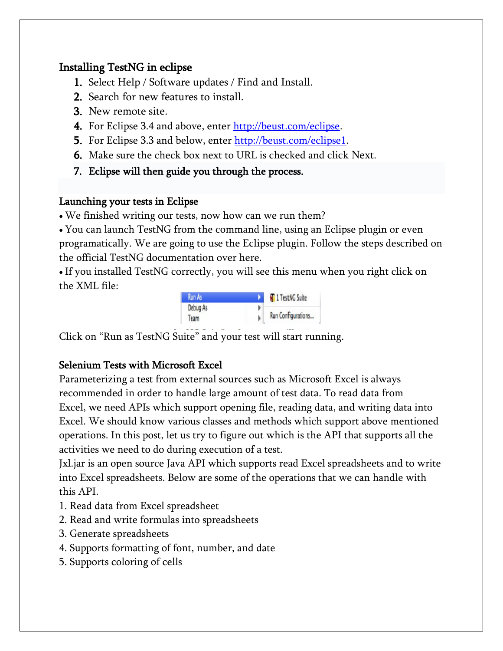# Installing TestNG in eclipse

- 1. Select Help / Software updates / Find and Install.
- 2. Search for new features to install.
- 3. New remote site.
- 4. For Eclipse 3.4 and above, enter [http://beust.com/eclipse.](http://beust.com/eclipse)
- 5. For Eclipse 3.3 and below, enter [http://beust.com/eclipse1.](http://beust.com/eclipse1)
- 6. Make sure the check box next to URL is checked and click Next.
- 7. Eclipse will then guide you through the process.

## Launching your tests in Eclipse

We finished writing our tests, now how can we run them?

You can launch TestNG from the command line, using an Eclipse plugin or even programatically. We are going to use the Eclipse plugin. Follow the steps described on the official TestNG documentation over here.

If you installed TestNG correctly, you will see this menu when you right click on the XML file:

| Run As   | <b>RE</b> 1 TestNG Suite |
|----------|--------------------------|
| Debug As |                          |
| learn    | Run Configurations       |

Click on "Run as TestNG Suite" and your test will start running.

# Selenium Tests with Microsoft Excel

Parameterizing a test from external sources such as Microsoft Excel is always recommended in order to handle large amount of test data. To read data from Excel, we need APIs which support opening file, reading data, and writing data into Excel. We should know various classes and methods which support above mentioned operations. In this post, let us try to figure out which is the API that supports all the activities we need to do during execution of a test.

Jxl.jar is an open source Java API which supports read Excel spreadsheets and to write into Excel spreadsheets. Below are some of the operations that we can handle with this API.

- 1. Read data from Excel spreadsheet
- 2. Read and write formulas into spreadsheets
- 3. Generate spreadsheets
- 4. Supports formatting of font, number, and date
- 5. Supports coloring of cells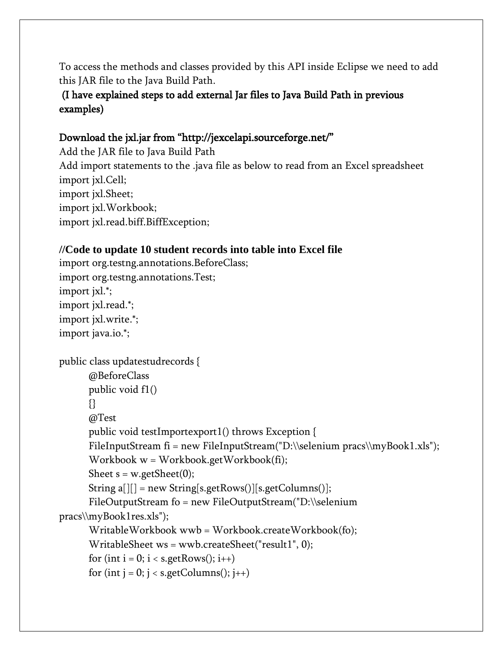To access the methods and classes provided by this API inside Eclipse we need to add this JAR file to the Java Build Path.

# (I have explained steps to add external Jar files to Java Build Path in previous examples)

## Download the jxl.jar from "http://jexcelapi.sourceforge.net/"

Add the JAR file to Java Build Path Add import statements to the .java file as below to read from an Excel spreadsheet import jxl.Cell; import jxl.Sheet; import jxl.Workbook; import jxl.read.biff.BiffException;

## **//Code to update 10 student records into table into Excel file**

```
import org.testng.annotations.BeforeClass;
import org.testng.annotations.Test;
import jxl.*;
import jxl.read.*;
import jxl.write.*;
import java.io.*;
public class updatestudrecords {
      @BeforeClass
      public void f1()
      {}
      @Test
      public void testImportexport1() throws Exception {
      FileInputStream fi = new FileInputStream("D:\\selenium pracs\myBook1.xls");Workbook w = Workbook.getWorkbook(fi);
      Sheet s = w.getSheet(0);String a[][] = new String[s.getRows()][s.getColumns()];
      FileOutputStream fo = new FileOutputStream("D:\\selenium 
pracs\\myBook1res.xls");
      WritableWorkbook wwb = Workbook.createWorkbook(fo);
      WritableSheet ws = wwb.createSheet("result1", 0);
      for (int i = 0; i < s getRows(); i++)for (int j = 0; j < s.getColumns(); j++)
```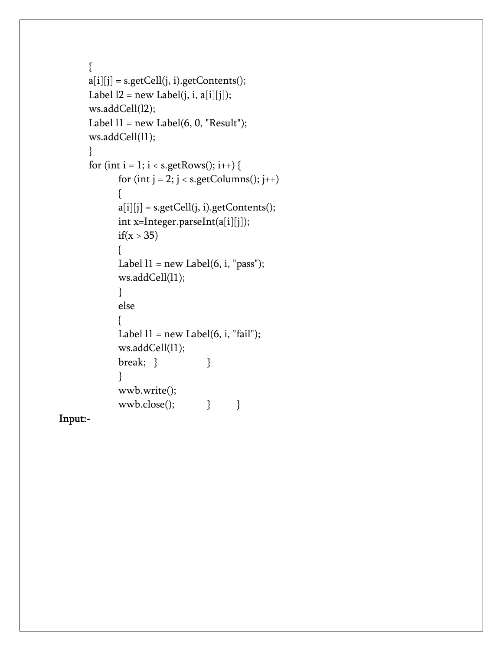```
{
a[i][j] = s.getCell(j, i).getContents(j;Label 12 = new Label(j, i, a[i][j]);ws.addCell(l2);
Label 11 = new Label(6, 0, "Result");ws.addCell(l1);
}
for (int i = 1; i < s.getRows(); i++) {
      for (int j = 2; j < s.getColumns(); j++){
      a[i][j] = s.getCell(j, i).getContents(j;int x=Integer.parseInt(a[i][j]);
      if(x > 35){
      Label 11 = new Label(6, i, "pass");ws.addCell(l1);
      }
      else
      {
      Label 11 = new Label(6, i, "fail");ws.addCell(l1);
      break; } }
      }
      wwb.write();
      wwb.close(); } }
```
Input:-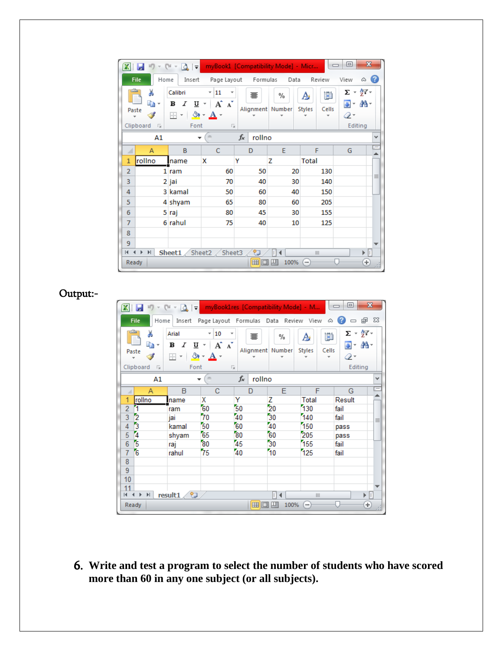|                |                                                     | $49 - (4 - 0) =$                                                      | myBook1 [Compatibility Mode] - Micr                                                                                    |                       |           |                                  | ▣<br>$\Box$                                      | $\mathbf{x}$ |
|----------------|-----------------------------------------------------|-----------------------------------------------------------------------|------------------------------------------------------------------------------------------------------------------------|-----------------------|-----------|----------------------------------|--------------------------------------------------|--------------|
|                | File<br>Home                                        | Insert                                                                | Page Layout                                                                                                            | Formulas              | Data      | Review                           | View                                             | (?<br>۵      |
|                | Ж<br>Gb -<br>Paste<br>Clipboard<br>园                | Calibri<br><u>u</u> -<br>в<br>$\boldsymbol{I}$<br><b>EH</b> -<br>Font | $\frac{11}{11}$<br>$\overline{\mathbf v}$<br>A<br>$\mathbf{A}^{\mathsf{T}}$<br>$\mathbf{\Diamond}$ + $\mathbf{A}$<br>园 | 謇<br>Alignment Number | %         | ₩<br>A<br><b>Styles</b><br>Cells | $\Sigma$ - $\frac{k}{Z}$ -<br>÷<br>⊘-<br>Editing | AA -         |
|                | A1                                                  |                                                                       | $\sim$                                                                                                                 | fx<br>rollno          |           |                                  |                                                  | v            |
|                | А                                                   | B                                                                     | c                                                                                                                      | D                     | E         | F                                | G                                                |              |
| 1              | rollno                                              | name                                                                  | x                                                                                                                      | Υ                     | z         | <b>Total</b>                     |                                                  |              |
| $\overline{2}$ |                                                     | 1 ram                                                                 | 60                                                                                                                     | 50                    | 20        | 130                              |                                                  | $\equiv$     |
| 3              |                                                     | 2 jai                                                                 | 70                                                                                                                     | 40                    | 30        | 140                              |                                                  |              |
| 4              |                                                     | 3 kamal                                                               | 50                                                                                                                     | 60                    | 40        | 150                              |                                                  |              |
| 5              |                                                     | 4 shyam                                                               | 65                                                                                                                     | 80                    | 60        | 205                              |                                                  |              |
| 6              |                                                     | 5 raj                                                                 | 80                                                                                                                     | 45                    | 30        | 155                              |                                                  |              |
| 7              |                                                     | 6 rahul                                                               | 75                                                                                                                     | 40                    | 10        | 125                              |                                                  |              |
| 8              |                                                     |                                                                       |                                                                                                                        |                       |           |                                  |                                                  |              |
| 9              |                                                     |                                                                       |                                                                                                                        |                       |           |                                  |                                                  |              |
| K.             | $\mathbb{H}$<br>$\blacktriangleleft$<br>$\mathbf b$ | Sheet1 $\sqrt{\text{Sheet2}}$ $\sqrt{\text{Sheet3}}$                  |                                                                                                                        | ℃                     |           | III                              |                                                  | T<br>ь       |
|                | Ready                                               |                                                                       |                                                                                                                        | 囲回                    | ш<br>100% | $\overline{\phantom{a}}$         |                                                  | $_{\pm)}$    |

Output:-

| X                   | $10 + 11 +$                                                                             |                         |                                                             |                 | myBook1res [Compatibility Mode] - M   |                                  | ▣<br>$\qquad \qquad \Box$             | $\mathbf{x}$ |
|---------------------|-----------------------------------------------------------------------------------------|-------------------------|-------------------------------------------------------------|-----------------|---------------------------------------|----------------------------------|---------------------------------------|--------------|
| <b>File</b>         | Home<br>Ж                                                                               | Insert<br>Arial         | v                                                           |                 | Page Layout Formulas Data Review View | ۵                                | €<br>郈<br>$\Box$<br>Σ - ∱7 -          | 23           |
| Paste               | la –                                                                                    | в<br>U<br>Ι<br>田 +<br>◇ | $-10$<br>$A^{\dagger}$<br>A<br>$\overline{\mathbf{v}}$<br>A | 亖               | %<br>Alignment Number                 | Ħ<br>A<br><b>Styles</b><br>Cells | - መ<br>$\overline{\mathbf{v}}$<br>Q - |              |
| Clipboard           | $\overline{\mathbb{F}_M}$                                                               | Font                    | 园                                                           |                 |                                       |                                  | Editing                               |              |
|                     | A1                                                                                      | ÷                       | $\equiv$                                                    | $f_x$<br>rollno |                                       |                                  |                                       | v            |
| A                   | Α                                                                                       | B                       | C                                                           | D               | E                                     | F                                | G                                     | $=$          |
| 1<br>rollno         |                                                                                         | Iname                   | Χ                                                           | Υ               | Z                                     | Total                            | Result                                |              |
| $\overline{2}$<br>1 |                                                                                         | ram                     | 60                                                          | 50              | 20                                    | 130                              | fail                                  |              |
| 3<br>2              |                                                                                         | jai                     | 70                                                          | 40              | 30                                    | 140                              | fail                                  | $\equiv$     |
| 3<br>4              |                                                                                         | kamal                   | 50                                                          | 60              | 40                                    | 150                              | pass                                  |              |
| 4<br>5              |                                                                                         | shyam                   | 65                                                          | 80              | 60                                    | 205                              | pass                                  |              |
| 5<br>6              |                                                                                         | raj                     | 80                                                          | 45              | 30                                    | 155                              | fail                                  |              |
| 6<br>$\overline{7}$ |                                                                                         | rahul                   | 75                                                          | 40              | 10                                    | 125                              | fail                                  |              |
| 8                   |                                                                                         |                         |                                                             |                 |                                       |                                  |                                       |              |
| 9                   |                                                                                         |                         |                                                             |                 |                                       |                                  |                                       |              |
| 10                  |                                                                                         |                         |                                                             |                 |                                       |                                  |                                       |              |
| 11                  |                                                                                         |                         |                                                             |                 |                                       |                                  |                                       |              |
| $M = 4$             | $\blacktriangleright$ $\blacktriangleright$ $\blacktriangleright$ $\blacktriangleright$ | result1                 |                                                             |                 | П                                     | III                              | ▶                                     | Ir           |
| Ready               |                                                                                         |                         |                                                             | 囲回              | ш<br>100%                             | $\overline{\phantom{0}}$         | Ð                                     | J.           |

6. **Write and test a program to select the number of students who have scored more than 60 in any one subject (or all subjects).**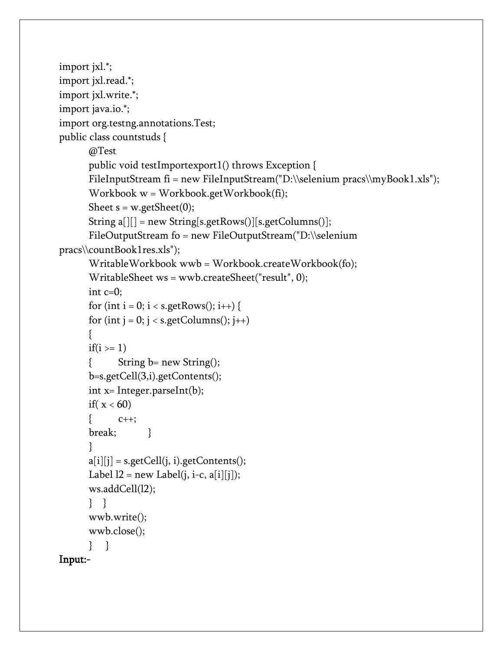```
import jxl.*;
import jxl.read.*;
import jxl.write.*;
import java.io.*;
import org.testng.annotations.Test;
public class countstuds {
      @Test
      public void testImportexport1() throws Exception {
      FileInputStream fi = new FileInputStream("D:\\selenium pracs\\myBook1.xls");
      Workbook w = Workbook.getWorkbook(fi);
      Sheet s = w.getSheet(0);String a[][] = new String[s.getRows()][s.getColumns()];
      FileOutputStream fo = new FileOutputStream("D:\\selenium 
pracs\\countBook1res.xls");
      WritableWorkbook wwb = Workbook.createWorkbook(fo);
      WritableSheet ws = wwb.createSheet("result", 0);
      int c=0;
      for (int i = 0; i < s.getRows(); i++) {
      for (int j = 0; j < s.getColumns(); j++){
      if(i >= 1){ String b= new String();
      b=s.getCell(3,i).getContents();
      int x= Integer.parseInt(b);
      if(x < 60)
      { C++;break; }
      }
      a[i][j] = s.getCell(j, i).getContents(j;Label 12 = new Label(j, i-c, a[i][j]);ws.addCell(l2);
      } }
      wwb.write();
      wwb.close();
      } }
```
## Input:-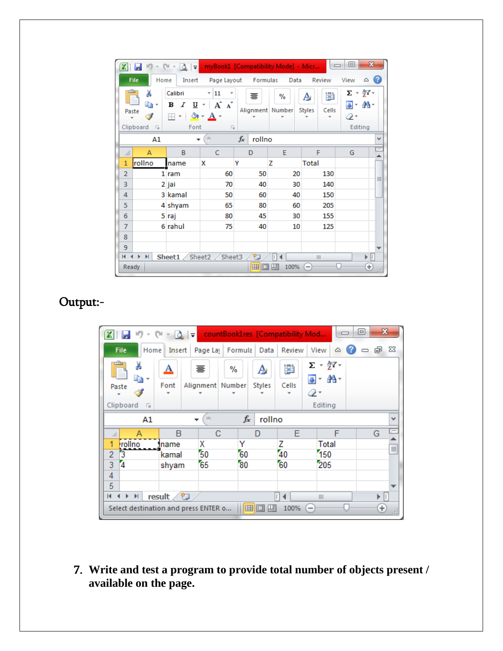|                | $\sim$ (p) $\sim$                                                                 | $\Delta$ $\pm$                                        |                                                                                                                  | myBook1 [Compatibility Mode] - Micr |           |                                  | $\mathbf{x}$<br>▣                                                    |                   |  |
|----------------|-----------------------------------------------------------------------------------|-------------------------------------------------------|------------------------------------------------------------------------------------------------------------------|-------------------------------------|-----------|----------------------------------|----------------------------------------------------------------------|-------------------|--|
|                | File<br>Home                                                                      | Insert                                                | Page Layout                                                                                                      | Formulas                            | Data      | Review                           | View<br>△                                                            | $\left( 2\right)$ |  |
| Paste          | ¥<br>en -<br>Clipboard<br>$\sqrt{2}$                                              | Calibri<br>U<br>в<br>$\boldsymbol{I}$<br>E8 +<br>Font | 11<br>v.<br>$\overline{\mathbf v}$<br>A<br>$\Lambda$<br>$\overline{\phantom{a}}$<br>$\mathbf{\diamond}$ - A<br>园 | 寚<br>Alignment Number               | %         | 費<br>A<br><b>Styles</b><br>Cells | $\Sigma$ - $\frac{K}{Z}$ -<br>- መ<br>$\overline{a}$<br>Q-<br>Editing |                   |  |
|                | A1                                                                                | ٠                                                     | $\sim$                                                                                                           | fx<br>rollno                        |           |                                  |                                                                      | v                 |  |
| ⊿              | A                                                                                 | B                                                     | C                                                                                                                | D                                   | E         | F                                | G                                                                    | Ξ                 |  |
| 1              | rollno                                                                            | name                                                  | x                                                                                                                | Y                                   | z         | <b>Total</b>                     |                                                                      |                   |  |
| $\overline{2}$ |                                                                                   | $1$ ram                                               | 60                                                                                                               | 50                                  | 20        | 130                              |                                                                      | ≣                 |  |
| 3              |                                                                                   | 2 jai                                                 | 70                                                                                                               | 40                                  | 30        | 140                              |                                                                      |                   |  |
| 4              |                                                                                   | 3 kamal                                               | 50                                                                                                               | 60                                  | 40        | 150                              |                                                                      |                   |  |
| 5              |                                                                                   | 4 shyam                                               | 65                                                                                                               | 80                                  | 60        | 205                              |                                                                      |                   |  |
| 6              |                                                                                   | 5 raj                                                 | 80                                                                                                               | 45                                  | 30        | 155                              |                                                                      |                   |  |
| 7              |                                                                                   | 6 rahul                                               | 75                                                                                                               | 40                                  | 10        | 125                              |                                                                      |                   |  |
| 8              |                                                                                   |                                                       |                                                                                                                  |                                     |           |                                  |                                                                      |                   |  |
| 9              |                                                                                   |                                                       |                                                                                                                  |                                     |           |                                  |                                                                      |                   |  |
| $\mathbb{R}$   | ℃<br>Sheet2 / Sheet3<br>ÞП<br>$\mathbb{H}$<br>$\rightarrow$<br>ь<br>Sheet1<br>III |                                                       |                                                                                                                  |                                     |           |                                  |                                                                      |                   |  |
| Ready          |                                                                                   |                                                       |                                                                                                                  | 囲<br>o                              | 100%<br>ш | $\overline{\phantom{0}}$         | $_{\pm}$                                                             | JŚ.               |  |

# Output:-

| $\bar{q}$                                                                         | Ιð.<br>l vl           | countBookIres [Compatibility Mod |                    |            |                                                                       | ▣<br>$\Box$ | $\mathbf{x}$ |  |
|-----------------------------------------------------------------------------------|-----------------------|----------------------------------|--------------------|------------|-----------------------------------------------------------------------|-------------|--------------|--|
| File<br>Home                                                                      | Page Lay<br>Insert    | Formula                          | Data               | Review     | View<br>۵                                                             | 一 印         | - 23         |  |
| Ж<br><u>A</u><br>∎∋<br>Font<br>Paste                                              | 亖<br>Alignment Number | %                                | A<br><b>Styles</b> | Ö<br>Cells | $\Sigma$ - $\frac{K}{Z}$ -<br>- 24 -<br>$\overline{\mathbf{u}}$<br>⊘- |             |              |  |
| Clipboard<br>园                                                                    |                       |                                  |                    |            | Editing                                                               |             |              |  |
| $f_x$<br>rollno<br>A1<br>v                                                        |                       |                                  |                    |            |                                                                       |             |              |  |
| Α                                                                                 | B                     | C                                | D                  | Е          | F                                                                     | G           | Ξ            |  |
| 1<br><b>Irollno</b>                                                               | x<br>name             | Y                                |                    | z          | Total                                                                 |             | $\equiv$     |  |
| 3<br>2                                                                            | 50<br>kamal           | 60                               |                    | 40         | 150                                                                   |             |              |  |
| $\overline{4}$<br>3                                                               | 65<br>shyam           | 80                               |                    | 60         | 205                                                                   |             |              |  |
| 4                                                                                 |                       |                                  |                    |            |                                                                       |             |              |  |
| 5                                                                                 |                       |                                  |                    |            |                                                                       |             |              |  |
| ∕℃<br>result<br>$\overline{14}$<br>$\blacktriangleright$<br>III                   |                       |                                  |                    |            |                                                                       |             |              |  |
| Œ<br>田回凹<br>100%<br>Select destination and press ENTER o<br>$\qquad \qquad$<br>J. |                       |                                  |                    |            |                                                                       |             |              |  |

7. **Write and test a program to provide total number of objects present / available on the page.**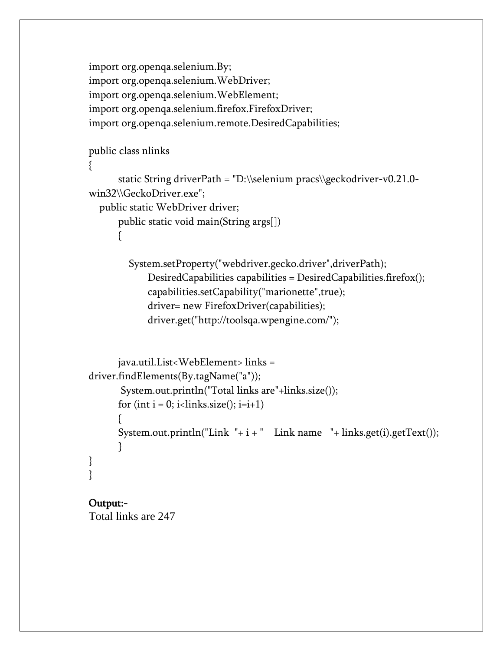import org.openqa.selenium.By; import org.openqa.selenium.WebDriver; import org.openqa.selenium.WebElement; import org.openqa.selenium.firefox.FirefoxDriver; import org.openqa.selenium.remote.DesiredCapabilities;

### public class nlinks

```
{
```

```
static String driverPath = "D:\\selenium pracs\\geckodriver-v0.21.0-
win32\\GeckoDriver.exe";
```

```
 public static WebDriver driver;
```

```
public static void main(String args[])
```
{

 System.setProperty("webdriver.gecko.driver",driverPath); DesiredCapabilities capabilities = DesiredCapabilities.firefox(); capabilities.setCapability("marionette",true); driver= new FirefoxDriver(capabilities); driver.get("http://toolsqa.wpengine.com/");

```
java.util.List<WebElement> links = 
driver.findElements(By.tagName("a"));
       System.out.println("Total links are"+links.size());
      for (int i = 0; i<links.size(); i=i+1)
      {
      System.out.println("Link "+ i +" Link name "+ links.get(i).getText());
      }
}
}
```
# Output:-

Total links are 247